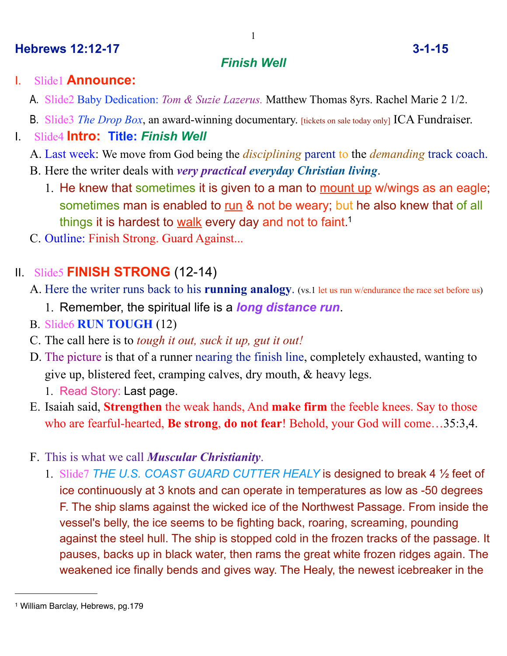#### **Hebrews 12:12-17 3-1-15**

#### *Finish Well*

### I. Slide1 **Announce:**

- A. Slide2 Baby Dedication: *Tom & Suzie Lazerus.* Matthew Thomas 8yrs. Rachel Marie 2 1/2.
- B. Slide3 *The Drop Box*, an award-winning documentary. [tickets on sale today only] ICA Fundraiser.

## I. Slide4 **Intro: Title:** *Finish Well*

- A. Last week: We move from God being the *disciplining* parent to the *demanding* track coach.
- B. Here the writer deals with *very practical everyday Christian living*.
	- 1. He knew that sometimes it is given to a man to mount up w/wings as an eagle; sometimes man is enabled to run & not be weary; but he also knew that of all things it is hardest to walk every day and not to faint.<sup>[1](#page-0-0)</sup>
- C. Outline: Finish Strong. Guard Against...

# II. Slide5 **FINISH STRONG** (12-14)

- A. Here the writer runs back to his **running analogy**. (vs.1 let us run w/endurance the race set before us)
	- 1. Remember, the spiritual life is a *long distance run*.
- B. Slide6 **RUN TOUGH** (12)
- C. The call here is to *tough it out, suck it up, gut it out!*
- D. The picture is that of a runner nearing the finish line, completely exhausted, wanting to give up, blistered feet, cramping calves, dry mouth, & heavy legs.
	- 1. Read Story: Last page.
- E. Isaiah said, **Strengthen** the weak hands, And **make firm** the feeble knees. Say to those who are fearful-hearted, **Be strong**, **do not fear**! Behold, your God will come…35:3,4.
- F. This is what we call *Muscular Christianity*.
	- 1. Slide7 *THE U.S. COAST GUARD CUTTER HEALY* is designed to break 4 ½ feet of ice continuously at 3 knots and can operate in temperatures as low as -50 degrees F. The ship slams against the wicked ice of the Northwest Passage. From inside the vessel's belly, the ice seems to be fighting back, roaring, screaming, pounding against the steel hull. The ship is stopped cold in the frozen tracks of the passage. It pauses, backs up in black water, then rams the great white frozen ridges again. The weakened ice finally bends and gives way. The Healy, the newest icebreaker in the

<span id="page-0-0"></span><sup>1</sup> William Barclay, Hebrews, pg.179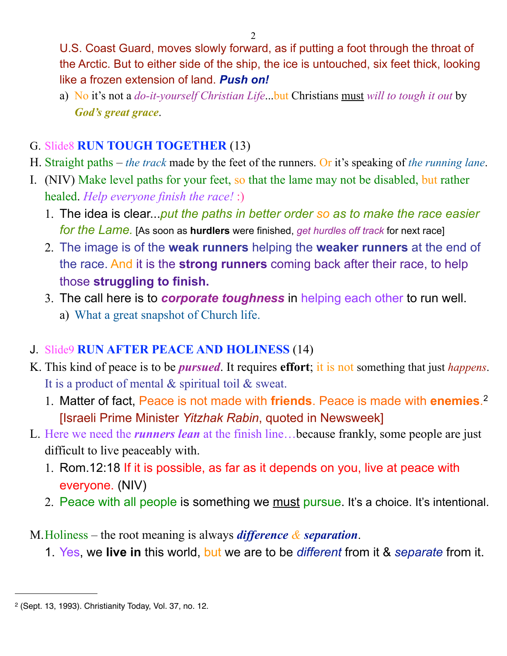U.S. Coast Guard, moves slowly forward, as if putting a foot through the throat of the Arctic. But to either side of the ship, the ice is untouched, six feet thick, looking like a frozen extension of land. *Push on!*

a) No it's not a *do-it-yourself Christian Life*...but Christians must *will to tough it out* by *God's great grace*.

### G. Slide8 **RUN TOUGH TOGETHER** (13)

- H. Straight paths *the track* made by the feet of the runners. Or it's speaking of *the running lane*.
- I. (NIV) Make level paths for your feet, so that the lame may not be disabled, but rather healed. *Help everyone finish the race!* :)
	- 1. The idea is clear...*put the paths in better order so as to make the race easier for the Lame.* [As soon as **hurdlers** were finished, *get hurdles off track* for next race]
	- 2. The image is of the **weak runners** helping the **weaker runners** at the end of the race. And it is the **strong runners** coming back after their race, to help those **struggling to finish.**
	- 3. The call here is to *corporate toughness* in helping each other to run well. a) What a great snapshot of Church life.
- J. Slide9 **RUN AFTER PEACE AND HOLINESS** (14)
- K. This kind of peace is to be *pursued*. It requires **effort**; it is not something that just *happens*. It is a product of mental & spiritual toil & sweat.
	- 1. Matter of fact, Peace is not made with **friends**. Peace is made with **enemies**. [2](#page-1-0) [Israeli Prime Minister *Yitzhak Rabin*, quoted in Newsweek]
- L. Here we need the *runners lean* at the finish line…because frankly, some people are just difficult to live peaceably with.
	- 1. Rom.12:18 If it is possible, as far as it depends on you, live at peace with everyone. (NIV)
	- 2. Peace with all people is something we must pursue. It's a choice. It's intentional.

M.Holiness – the root meaning is always *difference & separation*.

1. Yes, we **live in** this world, but we are to be *different* from it & *separate* from it.

<span id="page-1-0"></span><sup>2 (</sup>Sept. 13, 1993). Christianity Today, Vol. 37, no. 12.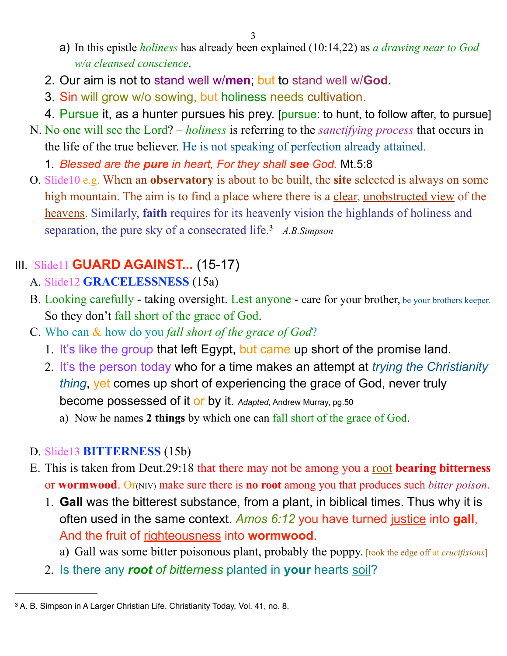- a) In this epistle *holiness* has already been explained (10:14,22) as *a drawing near to God w/a cleansed conscience*.
- 2. Our aim is not to stand well w/**men**; but to stand well w/**God**.
- 3. Sin will grow w/o sowing, but holiness needs cultivation.
- 4. Pursue it, as a hunter pursues his prey. [pursue: to hunt, to follow after, to pursue]
- N. No one will see the Lord? *holiness* is referring to the *sanctifying process* that occurs in the life of the <u>true</u> believer. He is not speaking of perfection already attained.
	- 1. *Blessed are the pure in heart, For they shall see God.* Mt.5:8
- O. Slide10 e.g. When an **observatory** is about to be built, the **site** selected is always on some high mountain. The aim is to find a place where there is a clear, unobstructed view of the heavens. Similarly, **faith** requires for its heavenly vision the highlands of holiness and separation, the pure sky of a consecrated life. [3](#page-2-0) *A.B.Simpson*

# III. Slide11 **GUARD AGAINST...** (15-17)

- A. Slide12 **GRACELESSNESS** (15a)
- B. Looking carefully taking oversight. Lest anyone care for your brother, be your brothers keeper. So they don't fall short of the grace of God.
- C. Who can & how do you *fall short of the grace of God*?
	- 1. It's like the group that left Egypt, but came up short of the promise land.
	- 2. It's the person today who for a time makes an attempt at *trying the Christianity thing*, yet comes up short of experiencing the grace of God, never truly become possessed of it or by it. *Adapted,* Andrew Murray, pg.50
		- a) Now he names **2 things** by which one can fall short of the grace of God.

## D. Slide13 **BITTERNESS** (15b)

- E. This is taken from Deut.29:18 that there may not be among you a root **bearing bitterness** or **wormwood**. Or(NIV) make sure there is **no root** among you that produces such *bitter poison*.
	- 1. **Gall** was the bitterest substance, from a plant, in biblical times. Thus why it is often used in the same context. *Amos 6:12* you have turned justice into **gall**, And the fruit of righteousness into **wormwood**.
		- a) Gall was some bitter poisonous plant, probably the poppy. [took the edge off at *crucifixions*]
	- 2. Is there any *root of bitterness* planted in **your** hearts soil?

<span id="page-2-0"></span><sup>3</sup> A. B. Simpson in A Larger Christian Life. Christianity Today, Vol. 41, no. 8.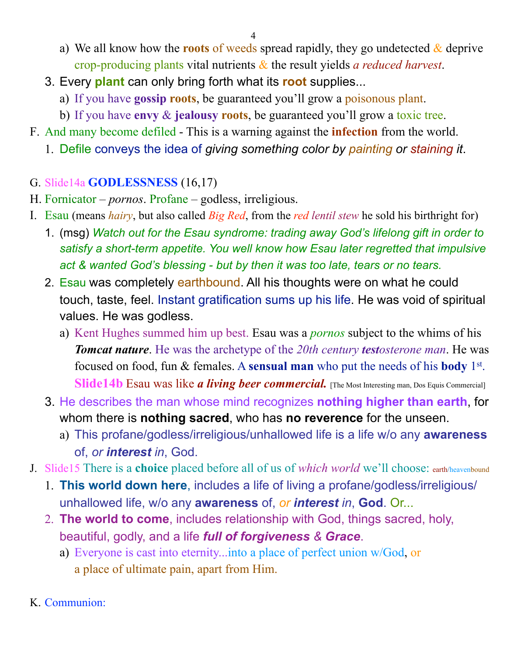4

- a) We all know how the **roots** of weeds spread rapidly, they go undetected & deprive crop-producing plants vital nutrients & the result yields *a reduced harvest*.
- 3. Every **plant** can only bring forth what its **root** supplies...
	- a) If you have **gossip roots**, be guaranteed you'll grow a poisonous plant.
	- b) If you have **envy** & **jealousy roots**, be guaranteed you'll grow a toxic tree.
- F. And many become defiled This is a warning against the **infection** from the world.
	- 1. Defile conveys the idea of *giving something color by painting or staining it*.

### G. Slide14a **GODLESSNESS** (16,17)

- H. Fornicator *pornos*. Profane godless, irreligious.
- I. Esau (means *hairy*, but also called *Big Red*, from the *red lentil stew* he sold his birthright for)
	- 1. (msg) *Watch out for the Esau syndrome: trading away God's lifelong gift in order to satisfy a short-term appetite. You well know how Esau later regretted that impulsive act & wanted God's blessing - but by then it was too late, tears or no tears.*
	- 2. Esau was completely earthbound. All his thoughts were on what he could touch, taste, feel. Instant gratification sums up his life. He was void of spiritual values. He was godless.
		- a) Kent Hughes summed him up best. Esau was a *pornos* subject to the whims of his *Tomcat nature.* He was the archetype of the 20th century *testosterone man*. He was focused on food, fun & females. A **sensual man** who put the needs of his **body** 1st. Slide14b Esau was like *a living beer commercial*. [The Most Interesting man, Dos Equis Commercial]
	- 3. He describes the man whose mind recognizes **nothing higher than earth**, for whom there is **nothing sacred**, who has **no reverence** for the unseen.
		- a) This profane/godless/irreligious/unhallowed life is a life w/o any **awareness** of, *or interest in*, God.
- J. Slide15 There is a **choice** placed before all of us of *which world* we'll choose: earth/heavenbound
	- 1. **This world down here**, includes a life of living a profane/godless/irreligious/ unhallowed life, w/o any **awareness** of, *or interest in*, **God**. Or...
	- 2. **The world to come**, includes relationship with God, things sacred, holy, beautiful, godly, and a life *full of forgiveness & Grace*.
		- a) Everyone is cast into eternity...into a place of perfect union w/God, or a place of ultimate pain, apart from Him.
- K. Communion: